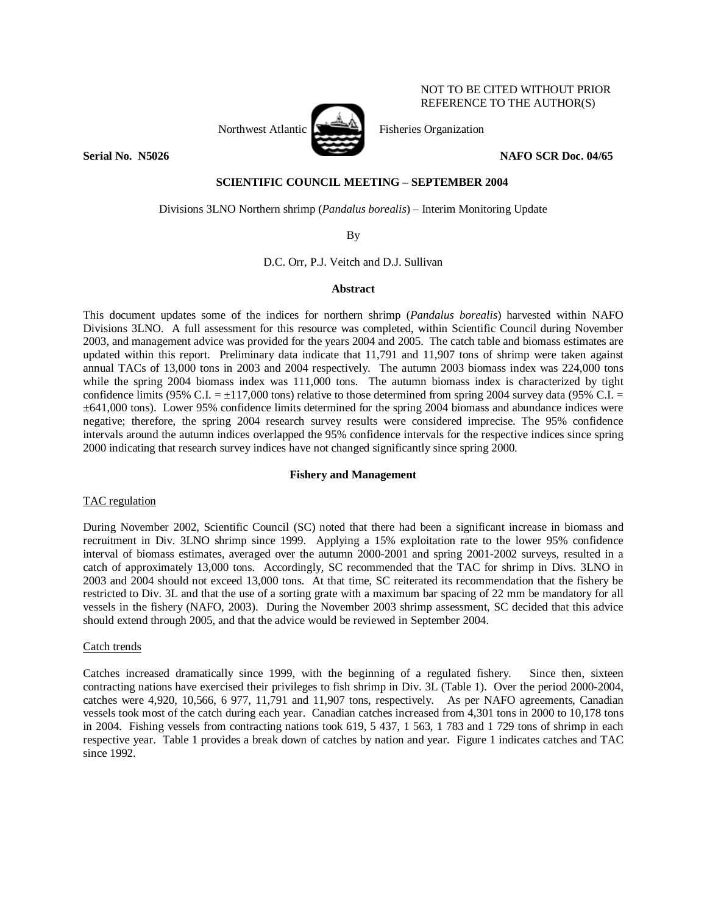

NOT TO BE CITED WITHOUT PRIOR REFERENCE TO THE AUTHOR(S)

#### **Serial No. N5026** NAFO SCR Doc. 04/65

# **SCIENTIFIC COUNCIL MEETING – SEPTEMBER 2004**

Divisions 3LNO Northern shrimp (*Pandalus borealis*) – Interim Monitoring Update

By

D.C. Orr, P.J. Veitch and D.J. Sullivan

#### **Abstract**

This document updates some of the indices for northern shrimp (*Pandalus borealis*) harvested within NAFO Divisions 3LNO. A full assessment for this resource was completed, within Scientific Council during November 2003, and management advice was provided for the years 2004 and 2005. The catch table and biomass estimates are updated within this report. Preliminary data indicate that 11,791 and 11,907 tons of shrimp were taken against annual TACs of 13,000 tons in 2003 and 2004 respectively. The autumn 2003 biomass index was 224,000 tons while the spring 2004 biomass index was 111,000 tons. The autumn biomass index is characterized by tight confidence limits (95% C.I.  $= \pm 117,000$  tons) relative to those determined from spring 2004 survey data (95% C.I.  $=$ ±641,000 tons). Lower 95% confidence limits determined for the spring 2004 biomass and abundance indices were negative; therefore, the spring 2004 research survey results were considered imprecise. The 95% confidence intervals around the autumn indices overlapped the 95% confidence intervals for the respective indices since spring 2000 indicating that research survey indices have not changed significantly since spring 2000.

# **Fishery and Management**

# TAC regulation

During November 2002, Scientific Council (SC) noted that there had been a significant increase in biomass and recruitment in Div. 3LNO shrimp since 1999. Applying a 15% exploitation rate to the lower 95% confidence interval of biomass estimates, averaged over the autumn 2000-2001 and spring 2001-2002 surveys, resulted in a catch of approximately 13,000 tons. Accordingly, SC recommended that the TAC for shrimp in Divs. 3LNO in 2003 and 2004 should not exceed 13,000 tons. At that time, SC reiterated its recommendation that the fishery be restricted to Div. 3L and that the use of a sorting grate with a maximum bar spacing of 22 mm be mandatory for all vessels in the fishery (NAFO, 2003). During the November 2003 shrimp assessment, SC decided that this advice should extend through 2005, and that the advice would be reviewed in September 2004.

# Catch trends

Catches increased dramatically since 1999, with the beginning of a regulated fishery. Since then, sixteen contracting nations have exercised their privileges to fish shrimp in Div. 3L (Table 1). Over the period 2000-2004, catches were 4,920, 10,566, 6 977, 11,791 and 11,907 tons, respectively. As per NAFO agreements, Canadian vessels took most of the catch during each year. Canadian catches increased from 4,301 tons in 2000 to 10,178 tons in 2004. Fishing vessels from contracting nations took 619, 5 437, 1 563, 1 783 and 1 729 tons of shrimp in each respective year. Table 1 provides a break down of catches by nation and year. Figure 1 indicates catches and TAC since 1992.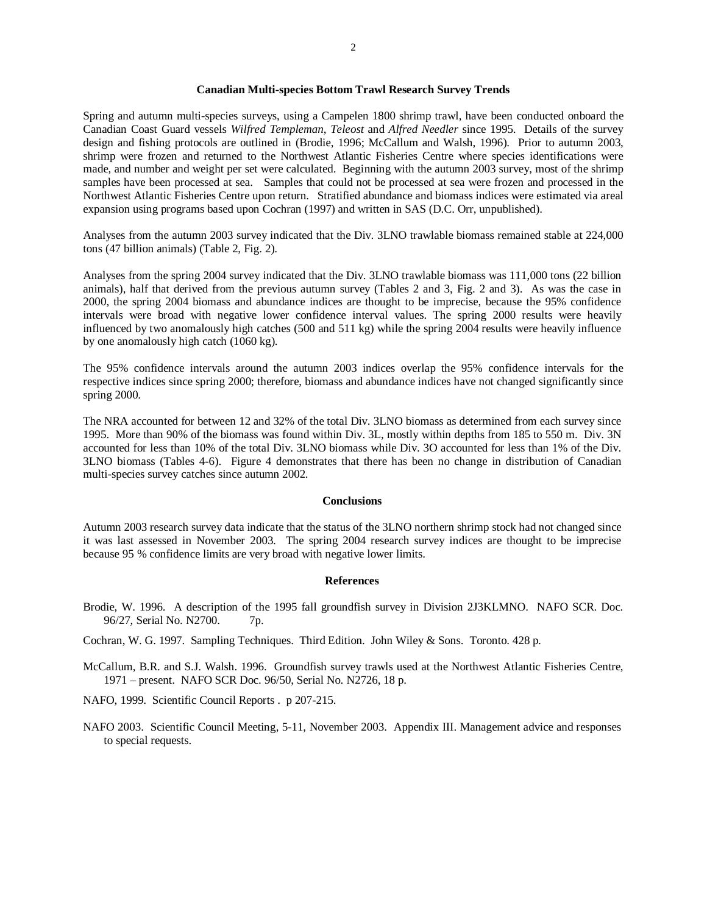#### **Canadian Multi-species Bottom Trawl Research Survey Trends**

Spring and autumn multi-species surveys, using a Campelen 1800 shrimp trawl, have been conducted onboard the Canadian Coast Guard vessels *Wilfred Templeman*, *Teleost* and *Alfred Needler* since 1995. Details of the survey design and fishing protocols are outlined in (Brodie, 1996; McCallum and Walsh, 1996). Prior to autumn 2003, shrimp were frozen and returned to the Northwest Atlantic Fisheries Centre where species identifications were made, and number and weight per set were calculated. Beginning with the autumn 2003 survey, most of the shrimp samples have been processed at sea. Samples that could not be processed at sea were frozen and processed in the Northwest Atlantic Fisheries Centre upon return. Stratified abundance and biomass indices were estimated via areal expansion using programs based upon Cochran (1997) and written in SAS (D.C. Orr, unpublished).

Analyses from the autumn 2003 survey indicated that the Div. 3LNO trawlable biomass remained stable at 224,000 tons (47 billion animals) (Table 2, Fig. 2).

Analyses from the spring 2004 survey indicated that the Div. 3LNO trawlable biomass was 111,000 tons (22 billion animals), half that derived from the previous autumn survey (Tables 2 and 3, Fig. 2 and 3). As was the case in 2000, the spring 2004 biomass and abundance indices are thought to be imprecise, because the 95% confidence intervals were broad with negative lower confidence interval values. The spring 2000 results were heavily influenced by two anomalously high catches (500 and 511 kg) while the spring 2004 results were heavily influence by one anomalously high catch (1060 kg).

The 95% confidence intervals around the autumn 2003 indices overlap the 95% confidence intervals for the respective indices since spring 2000; therefore, biomass and abundance indices have not changed significantly since spring 2000.

The NRA accounted for between 12 and 32% of the total Div. 3LNO biomass as determined from each survey since 1995. More than 90% of the biomass was found within Div. 3L, mostly within depths from 185 to 550 m. Div. 3N accounted for less than 10% of the total Div. 3LNO biomass while Div. 3O accounted for less than 1% of the Div. 3LNO biomass (Tables 4-6). Figure 4 demonstrates that there has been no change in distribution of Canadian multi-species survey catches since autumn 2002.

#### **Conclusions**

Autumn 2003 research survey data indicate that the status of the 3LNO northern shrimp stock had not changed since it was last assessed in November 2003. The spring 2004 research survey indices are thought to be imprecise because 95 % confidence limits are very broad with negative lower limits.

#### **References**

- Brodie, W. 1996. A description of the 1995 fall groundfish survey in Division 2J3KLMNO. NAFO SCR. Doc. 96/27, Serial No. N2700. 7p.
- Cochran, W. G. 1997. Sampling Techniques. Third Edition. John Wiley & Sons. Toronto. 428 p.
- McCallum, B.R. and S.J. Walsh. 1996. Groundfish survey trawls used at the Northwest Atlantic Fisheries Centre, 1971 – present. NAFO SCR Doc. 96/50, Serial No. N2726, 18 p.
- NAFO, 1999. Scientific Council Reports . p 207-215.
- NAFO 2003. Scientific Council Meeting, 5-11, November 2003. Appendix III. Management advice and responses to special requests.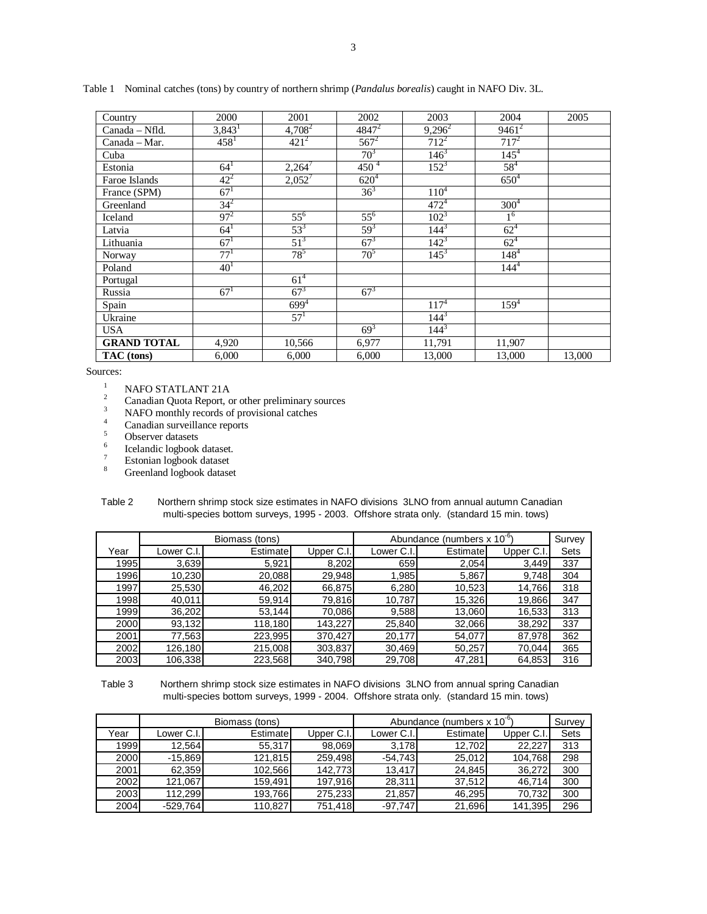| Country            | 2000                 | 2001      | 2002            | 2003      | 2004           | 2005   |
|--------------------|----------------------|-----------|-----------------|-----------|----------------|--------|
| Canada - Nfld.     | $3,843$ <sup>1</sup> | $4,708^2$ | $4847^2$        | $9,296^2$ | $9461^2$       |        |
| Canada - Mar.      | $458^1$              | $421^2$   | $567^2$         | $712^2$   | $717^2$        |        |
| Cuba               |                      |           | 70 <sup>3</sup> | $146^3$   | $145^{4}$      |        |
| Estonia            | $64^{1}$             | $2,264^7$ | $450^{4}$       | $152^{3}$ | $58^{4}$       |        |
| Faroe Islands      | $42^{2}$             | $2,052^7$ | $620^{4}$       |           | $650^{4}$      |        |
| France (SPM)       | 67 <sup>1</sup>      |           | $36^{3}$        | $110^{4}$ |                |        |
| Greenland          | $34^{2}$             |           |                 | $472^{4}$ | $300^{4}$      |        |
| Iceland            | $97^{2}$             | $55^{6}$  | $55^{6}$        | $102^{3}$ | 1 <sup>6</sup> |        |
| Latvia             | $64^{1}$             | $53^{3}$  | $59^{3}$        | $144^{3}$ | $62^{4}$       |        |
| Lithuania          | 67 <sup>1</sup>      | $51^{3}$  | $67^{3}$        | $142^{3}$ | $62^{4}$       |        |
| Norway             | $77^{1}$             | $78^5$    | $70^5$          | $145^3$   | $148^{4}$      |        |
| Poland             | 40 <sup>1</sup>      |           |                 |           | $144^{4}$      |        |
| Portugal           |                      | $61^{4}$  |                 |           |                |        |
| Russia             | $67^{1}$             | $67^{3}$  | $67^{3}$        |           |                |        |
| Spain              |                      | $699^{4}$ |                 | $117^{4}$ | $159^{4}$      |        |
| Ukraine            |                      | $57^{1}$  |                 | $144^{3}$ |                |        |
| <b>USA</b>         |                      |           | $69^{3}$        | $144^{3}$ |                |        |
| <b>GRAND TOTAL</b> | 4,920                | 10,566    | 6,977           | 11,791    | 11,907         |        |
| TAC (tons)         | 6,000                | 6,000     | 6,000           | 13,000    | 13,000         | 13,000 |

Table 1 Nominal catches (tons) by country of northern shrimp (*Pandalus borealis*) caught in NAFO Div. 3L.

Sources:

<sup>1</sup> NAFO STATLANT 21A<br><sup>2</sup> Canadian Quota Report, or other preliminary sources<br><sup>3</sup> NAEO monthly regards of provisional orthos

- $NAFO$  monthly records of provisional catches
- $\frac{4}{5}$  Canadian surveillance reports
- Observer datasets
- 6 Icelandic logbook dataset.
- 7 Estonian logbook dataset
- 8 Greenland logbook dataset

| Table 2 | Northern shrimp stock size estimates in NAFO divisions 3LNO from annual autumn Canadian  |
|---------|------------------------------------------------------------------------------------------|
|         | multi-species bottom surveys, 1995 - 2003. Offshore strata only. (standard 15 min. tows) |

|      |            | Biomass (tons) |              | Abundance (numbers $x 10^{-6}$ ) | Survey   |            |             |
|------|------------|----------------|--------------|----------------------------------|----------|------------|-------------|
| Year | Lower C.I. | Estimate       | Upper $C.l.$ | Lower C.I.                       | Estimate | Upper C.I. | <b>Sets</b> |
| 1995 | 3,639      | 5,921          | 8,202        | 659                              | 2,054    | 3,449      | 337         |
| 1996 | 10,230     | 20,088         | 29.948       | 1.985                            | 5,867    | 9,748      | 304         |
| 1997 | 25,530     | 46,202         | 66,875       | 6,280                            | 10,523   | 14,766     | 318         |
| 1998 | 40.011     | 59,914         | 79,816       | 10,787                           | 15,326   | 19,866     | 347         |
| 1999 | 36,202     | 53,144         | 70,086       | 9,588                            | 13,060   | 16,533     | 313         |
| 2000 | 93,132     | 118,180        | 143.227      | 25,840                           | 32,066   | 38,292     | 337         |
| 2001 | 77,563     | 223,995        | 370,427      | 20,177                           | 54,077   | 87,978     | 362         |
| 2002 | 126,180    | 215,008        | 303,837      | 30,469                           | 50,257   | 70,044     | 365         |
| 2003 | 106,338    | 223,568        | 340,798      | 29,708                           | 47,281   | 64,853     | 316         |

 Table 3 Northern shrimp stock size estimates in NAFO divisions 3LNO from annual spring Canadian multi-species bottom surveys, 1999 - 2004. Offshore strata only. (standard 15 min. tows)

|      |            | Biomass (tons) |            | Abundance (numbers x 10 <sup>"</sup> | Survey   |           |      |
|------|------------|----------------|------------|--------------------------------------|----------|-----------|------|
| Year | Lower C.I. | Estimate       | Upper C.I. | Lower C.I.I                          | Estimate | Upper C.I | Sets |
| 1999 | 12.564     | 55,317         | 98.069     | 3.178                                | 12.702   | 22.227    | 313  |
| 2000 | $-15,869$  | 121,815        | 259.498    | $-54,743$                            | 25,012   | 104,768   | 298  |
| 2001 | 62.359     | 102.566        | 142.773    | 13.417                               | 24.845   | 36,272    | 300  |
| 2002 | 121.067    | 159,491        | 197,916    | 28,311                               | 37,512   | 46,714    | 300  |
| 2003 | 112.299    | 193,766        | 275,233    | 21,857                               | 46.295   | 70,732    | 300  |
| 2004 | $-529,764$ | 110.827        | 751.418    | -97.747                              | 21,696   | 141,395   | 296  |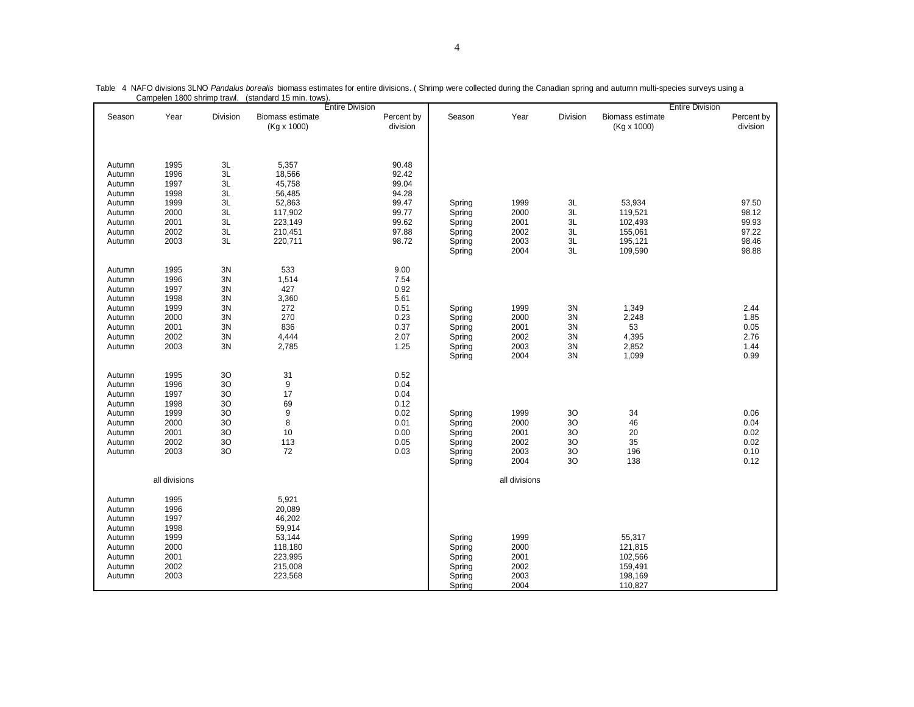|        |               |                |                  | <b>Entire Division</b> |        |               |                |                  | <b>Entire Division</b> |
|--------|---------------|----------------|------------------|------------------------|--------|---------------|----------------|------------------|------------------------|
| Season | Year          | Division       | Biomass estimate | Percent by             | Season | Year          | Division       | Biomass estimate | Percent by             |
|        |               |                | (Kg x 1000)      | division               |        |               |                | (Kg x 1000)      | division               |
|        |               |                |                  |                        |        |               |                |                  |                        |
|        |               |                |                  |                        |        |               |                |                  |                        |
|        |               |                |                  |                        |        |               |                |                  |                        |
| Autumn | 1995          | 3L             | 5,357            | 90.48                  |        |               |                |                  |                        |
| Autumn | 1996          | 3L             | 18,566           | 92.42                  |        |               |                |                  |                        |
| Autumn | 1997          | 3L             | 45,758           | 99.04                  |        |               |                |                  |                        |
| Autumn | 1998          | 3L             | 56,485           | 94.28                  |        |               |                |                  |                        |
| Autumn | 1999          | $3L$           | 52,863           | 99.47                  | Spring | 1999          | 3L             | 53,934           | 97.50                  |
| Autumn | 2000          | 3L             | 117,902          | 99.77                  | Spring | 2000          | 3L             | 119,521          | 98.12                  |
| Autumn | 2001          | 3L             | 223,149          | 99.62                  | Spring | 2001          | 3L             | 102,493          | 99.93                  |
| Autumn | 2002          | 3L             | 210,451          | 97.88                  | Spring | 2002          | 3L             | 155,061          | 97.22                  |
| Autumn | 2003          | $3L$           | 220,711          | 98.72                  | Spring | 2003          | 3L             | 195,121          | 98.46                  |
|        |               |                |                  |                        | Spring | 2004          | 3L             | 109,590          | 98.88                  |
|        |               |                |                  |                        |        |               |                |                  |                        |
| Autumn | 1995          | 3N             | 533              | 9.00                   |        |               |                |                  |                        |
| Autumn | 1996          | 3N             | 1,514            | 7.54                   |        |               |                |                  |                        |
| Autumn | 1997          | 3N             | 427              | 0.92                   |        |               |                |                  |                        |
| Autumn | 1998          | 3N             | 3,360            | 5.61                   |        |               |                |                  |                        |
| Autumn | 1999          | 3N             | 272              | 0.51                   | Spring | 1999          | 3N             | 1,349            | 2.44                   |
| Autumn | 2000          | 3N             | 270              | 0.23                   | Spring | 2000          | 3N             | 2,248            | 1.85                   |
| Autumn | 2001          | 3N             | 836              | 0.37                   | Spring | 2001          | 3N             | 53               | 0.05                   |
| Autumn | 2002          | 3N             | 4,444            | 2.07                   | Spring | 2002          | 3N             | 4,395            | 2.76                   |
|        | 2003          | 3N             | 2,785            | 1.25                   |        | 2003          |                |                  | 1.44                   |
| Autumn |               |                |                  |                        | Spring | 2004          | $3N$<br>3N     | 2,852<br>1,099   | 0.99                   |
|        |               |                |                  |                        | Spring |               |                |                  |                        |
| Autumn | 1995          | 3O             | 31               | 0.52                   |        |               |                |                  |                        |
|        | 1996          | 3O             | 9                | 0.04                   |        |               |                |                  |                        |
| Autumn | 1997          |                | 17               | 0.04                   |        |               |                |                  |                        |
| Autumn |               | 3O             |                  |                        |        |               |                |                  |                        |
| Autumn | 1998          | 3O             | 69<br>9          | 0.12<br>0.02           |        |               |                |                  | 0.06                   |
| Autumn | 1999          | 3 <sub>O</sub> |                  |                        | Spring | 1999          | 3O             | 34               |                        |
| Autumn | 2000          | 3O             | 8                | 0.01                   | Spring | 2000          | 30             | 46               | 0.04                   |
| Autumn | 2001          | 3O             | 10               | 0.00                   | Spring | 2001          | 3 <sub>O</sub> | 20               | 0.02                   |
| Autumn | 2002          | 3O             | 113              | 0.05                   | Spring | 2002          | 3O             | 35               | 0.02                   |
| Autumn | 2003          | 3O             | 72               | 0.03                   | Spring | 2003          | $30$           | 196              | 0.10                   |
|        |               |                |                  |                        | Spring | 2004          | 30             | 138              | 0.12                   |
|        |               |                |                  |                        |        |               |                |                  |                        |
|        | all divisions |                |                  |                        |        | all divisions |                |                  |                        |
|        |               |                |                  |                        |        |               |                |                  |                        |
| Autumn | 1995          |                | 5,921            |                        |        |               |                |                  |                        |
| Autumn | 1996          |                | 20,089           |                        |        |               |                |                  |                        |
| Autumn | 1997          |                | 46,202           |                        |        |               |                |                  |                        |
| Autumn | 1998          |                | 59,914           |                        |        |               |                |                  |                        |
| Autumn | 1999          |                | 53,144           |                        | Spring | 1999          |                | 55,317           |                        |
| Autumn | 2000          |                | 118,180          |                        | Spring | 2000          |                | 121,815          |                        |
| Autumn | 2001          |                | 223,995          |                        | Spring | 2001          |                | 102,566          |                        |
| Autumn | 2002          |                | 215,008          |                        | Spring | 2002          |                | 159,491          |                        |
| Autumn | 2003          |                | 223,568          |                        | Spring | 2003          |                | 198,169          |                        |
|        |               |                |                  |                        | Spring | 2004          |                | 110,827          |                        |

Table 4 NAFO divisions 3LNO *Pandalus borealis* biomass estimates for entire divisions. ( Shrimp were collected during the Canadian spring and autumn multi-species surveys using a Campelen 1800 shrimp trawl. (standard 15 min. tows).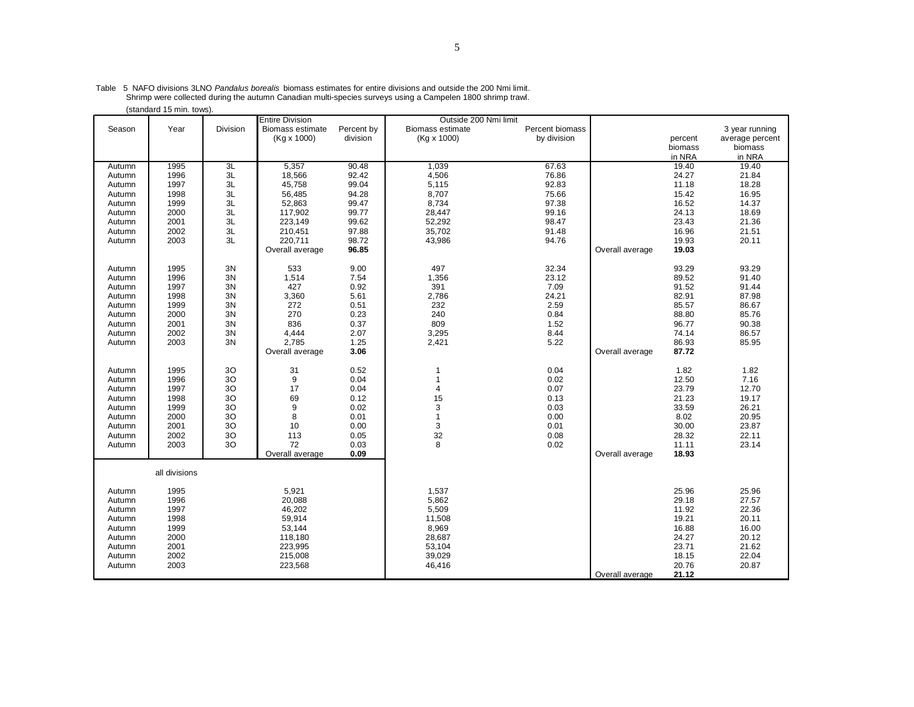|        | (standard 15 min. tows) |          |                        |            |                       |                 |                 |         |                 |
|--------|-------------------------|----------|------------------------|------------|-----------------------|-----------------|-----------------|---------|-----------------|
|        |                         |          | <b>Entire Division</b> |            | Outside 200 Nmi limit |                 |                 |         |                 |
| Season | Year                    | Division | Biomass estimate       | Percent by | Biomass estimate      | Percent biomass |                 |         | 3 year running  |
|        |                         |          | (Kg x 1000)            | division   | (Kg x 1000)           | by division     |                 | percent | average percent |
|        |                         |          |                        |            |                       |                 |                 |         |                 |
|        |                         |          |                        |            |                       |                 |                 | biomass | biomass         |
|        |                         |          |                        |            |                       |                 |                 | in NRA  | in NRA          |
| Autumn | 1995                    | 3L       | 5,357                  | 90.48      | 1,039                 | 67.63           |                 | 19.40   | 19.40           |
| Autumn | 1996                    | 3L       | 18,566                 | 92.42      | 4,506                 | 76.86           |                 | 24.27   | 21.84           |
| Autumn | 1997                    | 3L       | 45,758                 | 99.04      | 5,115                 | 92.83           |                 | 11.18   | 18.28           |
| Autumn | 1998                    | 3L       | 56,485                 | 94.28      | 8,707                 | 75.66           |                 | 15.42   | 16.95           |
|        | 1999                    | 3L       | 52,863                 | 99.47      | 8,734                 | 97.38           |                 | 16.52   |                 |
| Autumn |                         |          |                        |            |                       |                 |                 |         | 14.37           |
| Autumn | 2000                    | 3L       | 117,902                | 99.77      | 28,447                | 99.16           |                 | 24.13   | 18.69           |
| Autumn | 2001                    | 3L       | 223,149                | 99.62      | 52,292                | 98.47           |                 | 23.43   | 21.36           |
| Autumn | 2002                    | 3L       | 210,451                | 97.88      | 35,702                | 91.48           |                 | 16.96   | 21.51           |
| Autumn | 2003                    | 3L       | 220,711                | 98.72      | 43,986                | 94.76           |                 | 19.93   | 20.11           |
|        |                         |          | Overall average        | 96.85      |                       |                 | Overall average | 19.03   |                 |
|        |                         |          |                        |            |                       |                 |                 |         |                 |
|        |                         |          |                        |            |                       |                 |                 |         |                 |
| Autumn | 1995                    | 3N       | 533                    | 9.00       | 497                   | 32.34           |                 | 93.29   | 93.29           |
| Autumn | 1996                    | 3N       | 1,514                  | 7.54       | 1,356                 | 23.12           |                 | 89.52   | 91.40           |
| Autumn | 1997                    | 3N       | 427                    | 0.92       | 391                   | 7.09            |                 | 91.52   | 91.44           |
| Autumn | 1998                    | 3N       | 3,360                  | 5.61       | 2,786                 | 24.21           |                 | 82.91   | 87.98           |
| Autumn | 1999                    | 3N       | 272                    | 0.51       | 232                   | 2.59            |                 | 85.57   | 86.67           |
| Autumn | 2000                    | 3N       | 270                    | 0.23       | 240                   | 0.84            |                 | 88.80   | 85.76           |
|        |                         |          |                        |            |                       |                 |                 |         |                 |
| Autumn | 2001                    | 3N       | 836                    | 0.37       | 809                   | 1.52            |                 | 96.77   | 90.38           |
| Autumn | 2002                    | 3N       | 4,444                  | 2.07       | 3,295                 | 8.44            |                 | 74.14   | 86.57           |
| Autumn | 2003                    | 3N       | 2,785                  | 1.25       | 2,421                 | 5.22            |                 | 86.93   | 85.95           |
|        |                         |          | Overall average        | 3.06       |                       |                 | Overall average | 87.72   |                 |
|        |                         |          |                        |            |                       |                 |                 |         |                 |
| Autumn | 1995                    | 30       | 31                     | 0.52       |                       | 0.04            |                 | 1.82    | 1.82            |
| Autumn | 1996                    | 30       | 9                      | 0.04       |                       | 0.02            |                 | 12.50   | 7.16            |
|        |                         |          |                        |            |                       |                 |                 |         |                 |
| Autumn | 1997                    | 30       | 17                     | 0.04       | 4                     | 0.07            |                 | 23.79   | 12.70           |
| Autumn | 1998                    | 30       | 69                     | 0.12       | 15                    | 0.13            |                 | 21.23   | 19.17           |
| Autumn | 1999                    | 30       | 9                      | 0.02       | 3                     | 0.03            |                 | 33.59   | 26.21           |
| Autumn | 2000                    | 3O       | 8                      | 0.01       | 1                     | 0.00            |                 | 8.02    | 20.95           |
| Autumn | 2001                    | 30       | 10                     | 0.00       | 3                     | 0.01            |                 | 30.00   | 23.87           |
| Autumn | 2002                    | 3O       | 113                    | 0.05       | 32                    | 0.08            |                 | 28.32   | 22.11           |
|        | 2003                    | 30       | 72                     | 0.03       | 8                     | 0.02            |                 | 11.11   | 23.14           |
| Autumn |                         |          |                        |            |                       |                 |                 |         |                 |
|        |                         |          | Overall average        | 0.09       |                       |                 | Overall average | 18.93   |                 |
|        |                         |          |                        |            |                       |                 |                 |         |                 |
|        | all divisions           |          |                        |            |                       |                 |                 |         |                 |
|        |                         |          |                        |            |                       |                 |                 |         |                 |
| Autumn | 1995                    |          | 5,921                  |            | 1,537                 |                 |                 | 25.96   | 25.96           |
| Autumn | 1996                    |          | 20,088                 |            | 5,862                 |                 |                 | 29.18   | 27.57           |
|        | 1997                    |          | 46,202                 |            | 5,509                 |                 |                 | 11.92   | 22.36           |
| Autumn |                         |          |                        |            |                       |                 |                 |         |                 |
| Autumn | 1998                    |          | 59,914                 |            | 11,508                |                 |                 | 19.21   | 20.11           |
| Autumn | 1999                    |          | 53,144                 |            | 8,969                 |                 |                 | 16.88   | 16.00           |
| Autumn | 2000                    |          | 118,180                |            | 28,687                |                 |                 | 24.27   | 20.12           |
| Autumn | 2001                    |          | 223,995                |            | 53,104                |                 |                 | 23.71   | 21.62           |
| Autumn | 2002                    |          | 215,008                |            | 39,029                |                 |                 | 18.15   | 22.04           |
| Autumn | 2003                    |          | 223,568                |            | 46,416                |                 |                 | 20.76   | 20.87           |
|        |                         |          |                        |            |                       |                 |                 |         |                 |
|        |                         |          |                        |            |                       |                 | Overall average | 21.12   |                 |

.Table 5 NAFO divisions 3LNO *Pandalus borealis* biomass estimates for entire divisions and outside the 200 Nmi limit.<br>.Shrimp were collected during the autumn Canadian multi-species surveys using a Campelen 1800 shrimp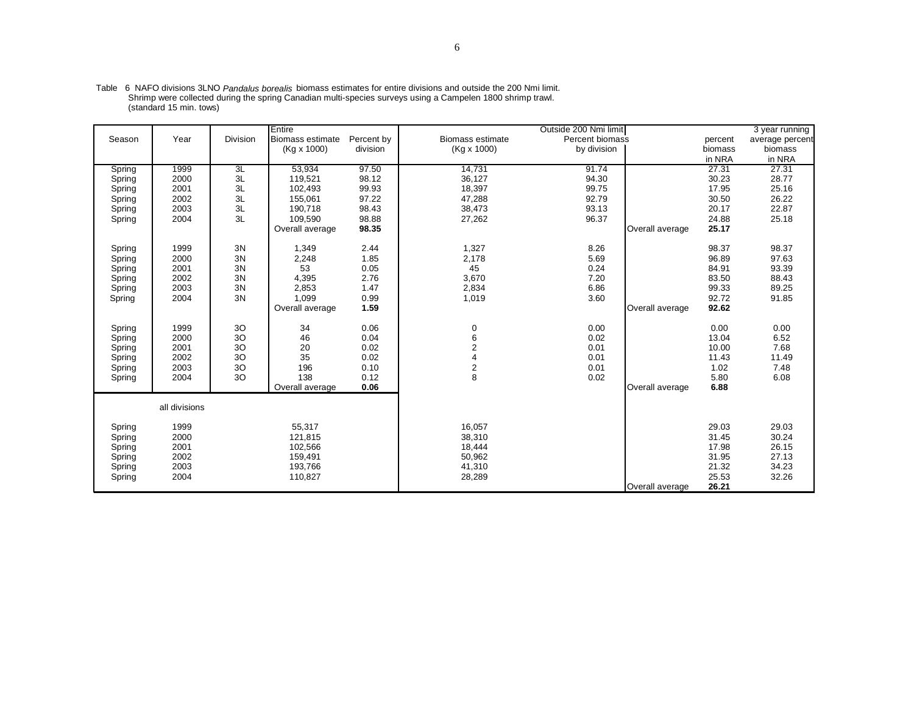|                  |               |          | Entire                  |              |                         | Outside 200 Nmi limit |                 |                | 3 year running  |
|------------------|---------------|----------|-------------------------|--------------|-------------------------|-----------------------|-----------------|----------------|-----------------|
| Season           | Year          | Division | <b>Biomass estimate</b> | Percent by   | <b>Biomass estimate</b> | Percent biomass       |                 | percent        | average percent |
|                  |               |          | $(Kq \times 1000)$      | division     | (Kg x 1000)             | by division           |                 | biomass        | biomass         |
|                  |               |          |                         |              |                         |                       |                 | in NRA         | in NRA          |
| Spring           | 1999          | 3L       | 53.934                  | 97.50        | 14.731                  | 91.74                 |                 | 27.31          | 27.31           |
| Spring           | 2000          | 3L       | 119,521                 | 98.12        | 36,127                  | 94.30                 |                 | 30.23          | 28.77           |
| Spring           | 2001          | 3L       | 102.493                 | 99.93        | 18,397                  | 99.75                 |                 | 17.95          | 25.16           |
| Spring           | 2002          | 3L       | 155,061                 | 97.22        | 47,288                  | 92.79                 |                 | 30.50          | 26.22           |
| Spring           | 2003          | 3L       | 190.718                 | 98.43        | 38,473                  | 93.13                 |                 | 20.17          | 22.87           |
| Spring           | 2004          | 3L       | 109.590                 | 98.88        | 27,262                  | 96.37                 |                 | 24.88          | 25.18           |
|                  |               |          | Overall average         | 98.35        |                         |                       | Overall average | 25.17          |                 |
| Spring           | 1999          | 3N       | 1,349                   | 2.44         | 1,327                   | 8.26                  |                 | 98.37          | 98.37           |
| Spring           | 2000          | 3N       | 2,248                   | 1.85         | 2,178                   | 5.69                  |                 | 96.89          | 97.63           |
| Spring           | 2001          | 3N       | 53                      | 0.05         | 45                      | 0.24                  |                 | 84.91          | 93.39           |
| Spring           | 2002          | 3N       | 4,395                   | 2.76         | 3,670                   | 7.20                  |                 | 83.50          | 88.43           |
| Spring           | 2003          | 3N       | 2,853                   | 1.47         | 2,834                   | 6.86                  |                 | 99.33          | 89.25           |
| Spring           | 2004          | 3N       | 1,099                   | 0.99         | 1,019                   | 3.60                  |                 | 92.72          | 91.85           |
|                  |               |          | Overall average         | 1.59         |                         |                       | Overall average | 92.62          |                 |
|                  |               |          |                         |              |                         |                       |                 |                |                 |
| Spring           | 1999          | 30<br>30 | 34                      | 0.06         | 0                       | 0.00                  |                 | 0.00           | 0.00            |
| Spring           | 2000<br>2001  | 30       | 46<br>20                | 0.04<br>0.02 | 6<br>$\overline{2}$     | 0.02<br>0.01          |                 | 13.04<br>10.00 | 6.52<br>7.68    |
| Spring           | 2002          | 30       | 35                      | 0.02         |                         | 0.01                  |                 | 11.43          | 11.49           |
| Spring<br>Spring | 2003          | 3O       | 196                     | 0.10         | $\overline{\mathbf{c}}$ | 0.01                  |                 | 1.02           | 7.48            |
| Spring           | 2004          | 30       | 138                     | 0.12         | 8                       | 0.02                  |                 | 5.80           | 6.08            |
|                  |               |          | Overall average         | 0.06         |                         |                       | Overall average | 6.88           |                 |
|                  |               |          |                         |              |                         |                       |                 |                |                 |
|                  | all divisions |          |                         |              |                         |                       |                 |                |                 |
| Spring           | 1999          |          | 55,317                  |              | 16,057                  |                       |                 | 29.03          | 29.03           |
| Spring           | 2000          |          | 121,815                 |              | 38,310                  |                       |                 | 31.45          | 30.24           |
| Spring           | 2001          |          | 102,566                 |              | 18,444                  |                       |                 | 17.98          | 26.15           |
| Spring           | 2002          |          | 159,491                 |              | 50,962                  |                       |                 | 31.95          | 27.13           |
| Spring           | 2003          |          | 193,766                 |              | 41,310                  |                       |                 | 21.32          | 34.23           |
| Spring           | 2004          |          | 110,827                 |              | 28,289                  |                       |                 | 25.53          | 32.26           |
|                  |               |          |                         |              |                         |                       | Overall average | 26.21          |                 |

Table 6 NAFO divisions 3LNO *Pandalus borealis* biomass estimates for entire divisions and outside the 200 Nmi limit. Shrimp were collected during the spring Canadian multi-species surveys using a Campelen 1800 shrimp trawl. (standard 15 min. tows)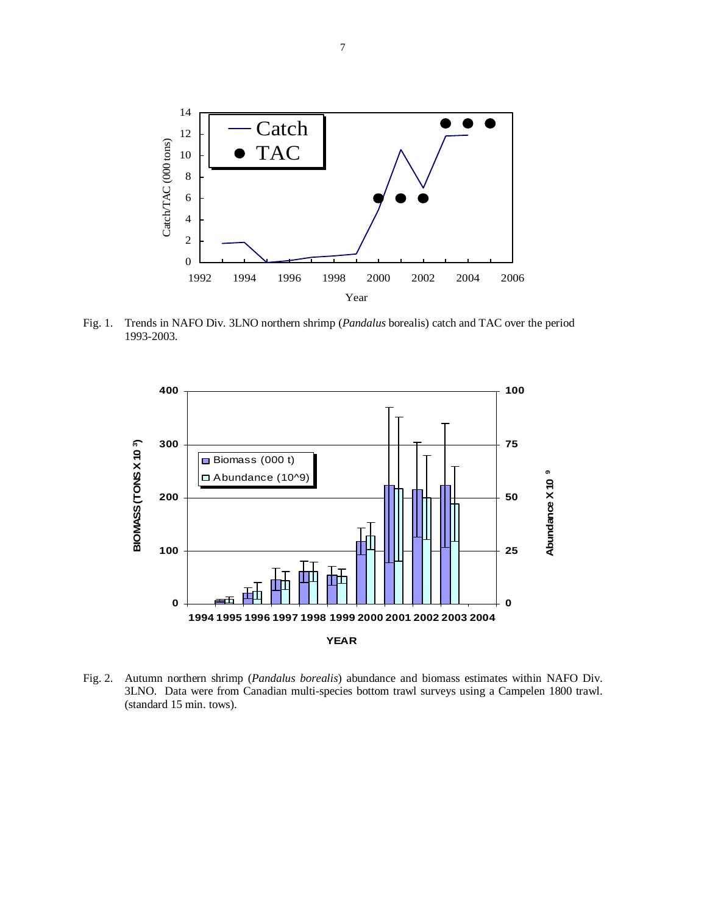

Fig. 1. Trends in NAFO Div. 3LNO northern shrimp (*Pandalus* borealis) catch and TAC over the period 1993-2003.



Fig. 2. Autumn northern shrimp (*Pandalus borealis*) abundance and biomass estimates within NAFO Div. 3LNO. Data were from Canadian multi-species bottom trawl surveys using a Campelen 1800 trawl. (standard 15 min. tows).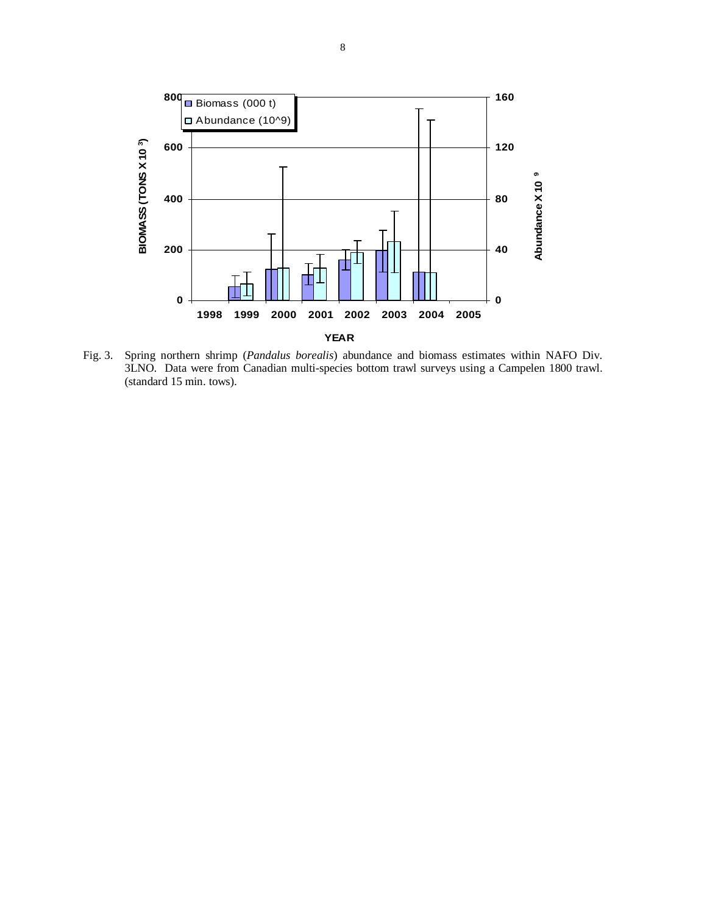

Fig. 3. Spring northern shrimp (*Pandalus borealis*) abundance and biomass estimates within NAFO Div. 3LNO. Data were from Canadian multi-species bottom trawl surveys using a Campelen 1800 trawl. (standard 15 min. tows).